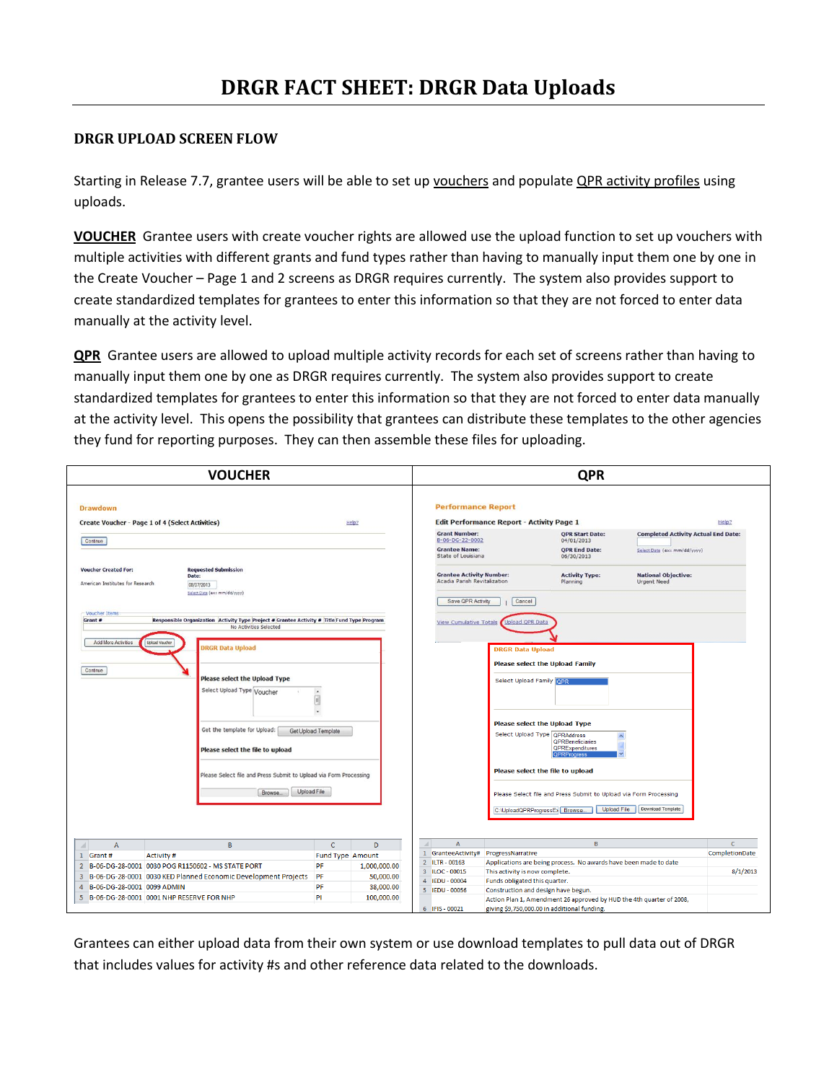## **DRGR UPLOAD SCREEN FLOW**

Starting in Release 7.7, grantee users will be able to set up vouchers and populate QPR activity profiles using uploads.

**VOUCHER** Grantee users with create voucher rights are allowed use the upload function to set up vouchers with multiple activities with different grants and fund types rather than having to manually input them one by one in the Create Voucher – Page 1 and 2 screens as DRGR requires currently. The system also provides support to create standardized templates for grantees to enter this information so that they are not forced to enter data manually at the activity level.

**QPR** Grantee users are allowed to upload multiple activity records for each set of screens rather than having to manually input them one by one as DRGR requires currently. The system also provides support to create standardized templates for grantees to enter this information so that they are not forced to enter data manually at the activity level. This opens the possibility that grantees can distribute these templates to the other agencies they fund for reporting purposes. They can then assemble these files for uploading.



Grantees can either upload data from their own system or use download templates to pull data out of DRGR that includes values for activity #s and other reference data related to the downloads.